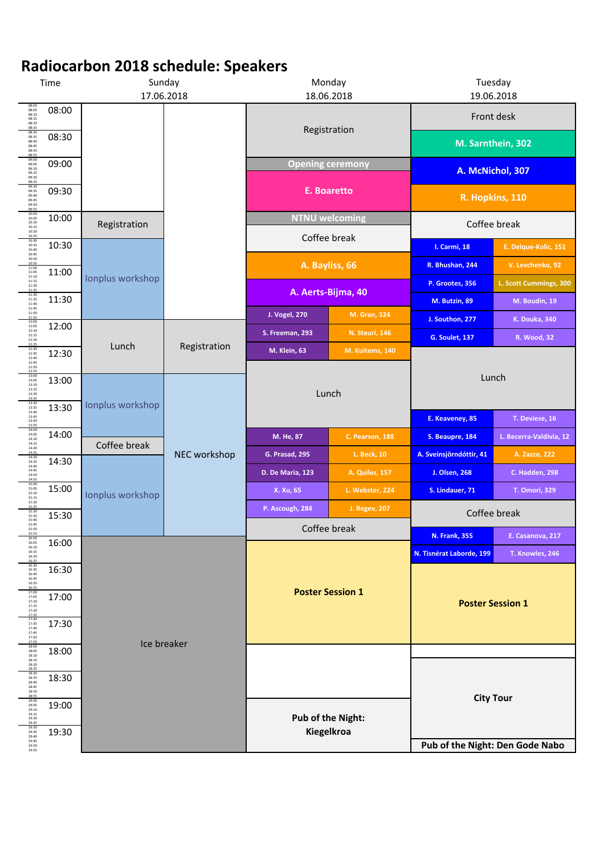| Time                                                            |       | Sunday<br>17.06.2018 |              | Monday<br>18.06.2018                  |                       | Tuesday<br>19.06.2018                            |                         |
|-----------------------------------------------------------------|-------|----------------------|--------------|---------------------------------------|-----------------------|--------------------------------------------------|-------------------------|
| 08:00<br>08:05<br>08:10<br>08:15<br>08:20<br>08:25              | 08:00 |                      |              |                                       |                       |                                                  | Front desk              |
| 08:30<br>08:35<br>08:40<br>08:45<br>08:50<br>08:55              | 08:30 |                      |              | Registration                          |                       | M. Sarnthein, 302                                |                         |
| 09:00<br>09:05<br>09:10<br>09:15<br>09:20<br>09:25              | 09:00 |                      |              | <b>Opening ceremony</b>               |                       | A. McNichol, 307                                 |                         |
| 09:30<br>09:35<br>09:40<br>09:45<br>09:50<br>09:55              | 09:30 |                      |              | <b>E. Boaretto</b>                    |                       | R. Hopkins, 110                                  |                         |
| 10:00<br>10:05<br>10:10<br>10:15<br>10:20<br>10:25              | 10:00 | Registration         |              | <b>NTNU welcoming</b><br>Coffee break |                       | Coffee break                                     |                         |
| 10:30<br>10:35<br>10:40<br>10:45                                | 10:30 |                      |              |                                       |                       | I. Carmi, 18                                     | E. Delque-Kolic, 151    |
| 10:50<br>10:55<br>11:00<br>11:05<br>11:10<br>11:15              | 11:00 | Ionplus workshop     |              | A. Bayliss, 66                        |                       | R. Bhushan, 244                                  | V. Levchenko, 92        |
| 11:20<br>11:25                                                  |       |                      |              | A. Aerts-Bijma, 40                    |                       | P. Grootes, 356                                  | L. Scott Cummings, 300  |
| 11:30<br>11:35<br>11:40<br>11:45<br>11:50                       | 11:30 |                      |              |                                       |                       | M. Butzin, 89                                    | M. Boudin, 19           |
| 11:55<br>12:00<br>12:05<br>12:10                                | 12:00 |                      |              | <b>J. Vogel, 270</b>                  | <b>M. Gran, 324</b>   | J. Southon, 277                                  | <b>K. Douka, 340</b>    |
| 12:15<br>12:20<br>12:25                                         |       | Lunch                | Registration | S. Freeman, 293                       | <b>N. Steuri, 146</b> | <b>G. Soulet, 137</b>                            | <b>R. Wood, 32</b>      |
| 12:30<br>12:35<br>12:40<br>12:45                                | 12:30 |                      |              | <b>M. Klein, 63</b>                   | M. Kuitems, 140       |                                                  |                         |
| 12:50<br>12:55<br>13:00<br>13:05                                | 13:00 |                      | NEC workshop | Lunch                                 |                       |                                                  | Lunch                   |
| 13:10<br>$\begin{array}{c} 13:15 \\ 13:20 \end{array}$<br>13:25 |       | Ionplus workshop     |              |                                       |                       |                                                  |                         |
| 13:30<br>13:35<br>13:40<br>13:45<br>13:50                       | 13:30 |                      |              |                                       |                       | E. Keaveney, 85                                  | T. Deviese, 16          |
| 13:55<br>14:00<br>14:05<br>14:10                                | 14:00 |                      |              | M. He, 87                             | C. Pearson, 188       | S. Beaupre, 184                                  | L. Becerra-Valdivia, 12 |
| 14:15<br>14:20<br>14:25<br>14:30                                |       | Coffee break         |              | G. Prasad, 295                        | L. Beck, 10           | A. Sveinsjörndóttir, 41                          | A. Zazzo, 222           |
| 14:35<br>14:40<br>14:45<br>14:50                                | 14:30 |                      |              | D. De Maria, 123                      | A. Quiles, 157        | J. Olsen, 268                                    | <b>C. Hadden, 298</b>   |
| 14.55<br>15:00<br>15:05<br>15:10                                | 15:00 | Ionplus workshop     |              | X. Xu, 65                             | L. Webster, 224       | S. Lindauer, 71                                  | T. Omori, 329           |
| 15:15<br>15:20<br>15:2<br>15:30<br>15:35<br>15:40               | 15:30 |                      |              | P. Ascough, 284                       | <b>J. Regev, 207</b>  |                                                  | Coffee break            |
| 15:45<br>15:50<br>15:55                                         |       |                      |              | Coffee break                          |                       |                                                  | E. Casanova, 217        |
| 16:00<br>16:05<br>16:10<br>16:15                                | 16:00 |                      |              |                                       |                       | <b>N. Frank, 355</b><br>N. Tisnérat Laborde, 199 | T. Knowles, 246         |
| 16:20<br>16:2<br>16:30<br>16:35                                 | 16:30 |                      |              |                                       |                       |                                                  |                         |
| 16:40<br>16:45<br>16:50<br>16:55                                |       |                      |              |                                       |                       |                                                  |                         |
| 17:00<br>17:05<br>17:10<br>17:15<br>17:20<br>17:25              | 17:00 | Ice breaker          |              | <b>Poster Session 1</b>               |                       | <b>Poster Session 1</b>                          |                         |
| 17:30<br>17:35<br>17:40<br>17:45                                | 17:30 |                      |              |                                       |                       |                                                  |                         |
| 17:50<br>17:55<br>18:00<br>18:05                                | 18:00 |                      |              |                                       |                       |                                                  |                         |
| 18:10<br>18:15<br>18:20<br>18:25                                |       |                      |              |                                       |                       |                                                  |                         |
| 18:30<br>18:35<br>18:40<br>18:45<br>18:50<br>18:55              | 18:30 |                      |              |                                       |                       |                                                  |                         |
| 19:00<br>19:05<br>19:10<br>19:15                                | 19:00 |                      |              |                                       |                       | <b>City Tour</b>                                 |                         |
| 19:20<br>19:25<br>19:30<br>19:35                                | 19:30 |                      |              | <b>Pub of the Night:</b>              |                       |                                                  |                         |
| 19:40<br>19:45<br>19:50<br>19:55                                |       |                      |              | Kiegelkroa                            |                       | Pub of the Night: Den Gode Nabo                  |                         |

## **Radiocarbon 2018 schedule: Speakers**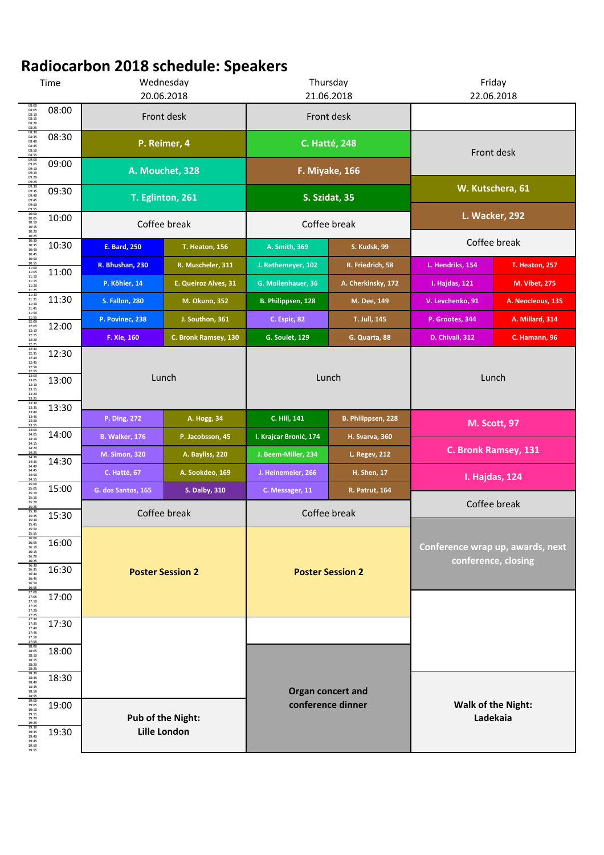| Time                                                        |       | Wednesday<br>20.06.2018                         |                       | Thursday<br>21.06.2018                      |                       | Friday<br>22.06.2018                                    |                       |
|-------------------------------------------------------------|-------|-------------------------------------------------|-----------------------|---------------------------------------------|-----------------------|---------------------------------------------------------|-----------------------|
| 08:00<br>08:05<br>08:10<br>08:15<br>08:20<br>08:25          | 08:00 | Front desk                                      |                       | Front desk                                  |                       |                                                         |                       |
| 08:30<br>08:35<br>08:40<br>08:45<br>08:50<br>08:55          | 08:30 | P. Reimer, 4                                    |                       | <b>C. Hatté, 248</b>                        |                       | Front desk                                              |                       |
| 09:00<br>09:05<br>09:10<br>09:15<br>09:20<br>09:25          | 09:00 | A. Mouchet, 328                                 |                       | F. Miyake, 166                              |                       |                                                         |                       |
| 09:30<br>09:35<br>09:40<br>09:45<br>09:50                   | 09:30 | T. Eglinton, 261                                |                       | S. Szidat, 35                               |                       | W. Kutschera, 61                                        |                       |
| 09:55<br>10:00<br>10:05<br>10:10<br>10:15<br>10:20          | 10:00 | Coffee break                                    |                       | Coffee break                                |                       | <b>L. Wacker, 292</b>                                   |                       |
| 10:25<br>10:30<br>10:35<br>10:40<br>10:45                   | 10:30 | <b>E. Bard, 250</b>                             | <b>T. Heaton, 156</b> | A. Smith, 369                               | <b>S. Kudsk, 99</b>   | Coffee break                                            |                       |
| 10:50<br>10:55<br>11:00<br>11:05<br>11:10                   | 11:00 | R. Bhushan, 230                                 | R. Muscheler, 311     | J. Rethemeyer, 102                          | R. Friedrich, 58      | L. Hendriks, 154                                        | <b>T. Heaton, 257</b> |
| 11:15<br>11:20<br>11:25                                     |       | P. Köhler, 14                                   | E. Queiroz Alves, 31  | G. Mollenhauer, 36                          | A. Cherkinsky, 172    | I. Hajdas, 121                                          | M. Vibet, 275         |
| 11:30<br>11:35<br>11:40<br>11:45                            | 11:30 | <b>S. Fallon, 280</b>                           | M. Okuno, 352         | B. Philippsen, 128                          | M. Dee, 149           | V. Levchenko, 91                                        | A. Neocleous, 135     |
| 11:50<br>11:55<br>12:00                                     | 12:00 | P. Povinec, 238                                 | J. Southon, 361       | C. Espic, 82                                | T. Jull, 145          | P. Grootes, 344                                         | A. Millard, 314       |
| 12:05<br>12:10<br>12:15<br>12:20                            |       | F. Xie, 160                                     | C. Bronk Ramsey, 130  | <b>G. Soulet, 129</b>                       | G. Quarta, 88         | D. Chivall, 312                                         | C. Hamann, 96         |
| 12:25<br>12:30<br>12:35<br>12:40<br>12:45<br>12:50<br>12:55 | 12:30 | Lunch<br>A. Hogg, 34<br>P. Ding, 272            |                       | Lunch<br>C. Hill, 141<br>B. Philippsen, 228 |                       | Lunch                                                   |                       |
| 13:00<br>13:05<br>13:10<br>13:15<br>13:20<br>13:25          | 13:00 |                                                 |                       |                                             |                       |                                                         |                       |
| 13:30<br>13:35<br>13:40<br>13:45                            | 13:30 |                                                 |                       |                                             |                       |                                                         |                       |
| 13:50<br>13:55<br>14:00<br>14:05                            | 14:00 | <b>B. Walker, 176</b>                           | P. Jacobsson, 45      | I. Krajcar Bronić, 174                      | <b>H. Svarva, 360</b> | <b>M. Scott, 97</b>                                     |                       |
| 14:10<br>14:15<br>14:20<br>14:25                            |       | <b>M. Simon, 320</b>                            | A. Bayliss, 220       | J. Beem-Miller, 234                         | L. Regev, 212         | C. Bronk Ramsey, 131                                    |                       |
| 14:30<br>14:35<br>14:40<br>14:45                            | 14:30 | C. Hatté, 67                                    | A. Sookdeo, 169       | J. Heinemeier, 266                          | <b>H. Shen, 17</b>    |                                                         |                       |
| 14:50<br>14:55<br>15:00<br>15:05<br>15:10                   | 15:00 | G. dos Santos, 165                              | <b>S. Dalby, 310</b>  | C. Messager, 11                             | <b>R. Patrut, 164</b> | I. Hajdas, 124                                          |                       |
| 15:15<br>15:20<br>15:2<br>15:30<br>15:35<br>15:40           | 15:30 |                                                 | Coffee break          | Coffee break                                |                       | Coffee break                                            |                       |
| 15:45<br>15:50<br>15:55<br>16:00                            |       |                                                 |                       |                                             |                       | Conference wrap up, awards, next<br>conference, closing |                       |
| 16:05<br>16:10<br>16:15<br>16:20<br>16:2<br>16:30           | 16:00 | <b>Poster Session 2</b>                         |                       | <b>Poster Session 2</b>                     |                       |                                                         |                       |
| 16:35<br>16:40<br>16:45<br>16:50<br>16:55                   | 16:30 |                                                 |                       |                                             |                       |                                                         |                       |
| 17:00<br>17:05<br>17:10<br>17:15<br>17:20<br>17:25          | 17:00 |                                                 |                       |                                             |                       |                                                         |                       |
| 17:30<br>17:35<br>17:40<br>17:45<br>17:50                   | 17:30 |                                                 |                       |                                             |                       |                                                         |                       |
| 17:5<br>18:00<br>18:05<br>18:10<br>18:15<br>18:20           | 18:00 |                                                 |                       |                                             |                       |                                                         |                       |
| 18:25<br>18:30<br>18:35<br>18:40<br>18:45<br>18:50<br>18:55 | 18:30 |                                                 |                       | Organ concert and<br>conference dinner      |                       | <b>Walk of the Night:</b>                               |                       |
| 19:00<br>19:05<br>19:10<br>19:15                            | 19:00 |                                                 |                       |                                             |                       |                                                         |                       |
| 19:20<br>19:25<br>19:30<br>19:35                            | 19:30 | <b>Pub of the Night:</b><br><b>Lille London</b> |                       |                                             |                       | Ladekaia                                                |                       |
| 19:40<br>19:45<br>19:50<br>19:55                            |       |                                                 |                       |                                             |                       |                                                         |                       |

## **Radiocarbon 2018 schedule: Speakers**